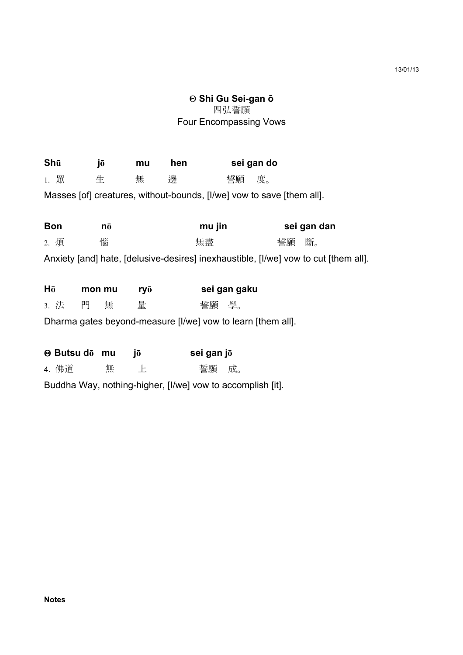## Θ **Shi Gu Sei-gan ō** 四弘誓願 Four Encompassing Vows

| Shū                                                                                 |        | jō | mu  | hen    |              | sei gan do |             |    |    |  |
|-------------------------------------------------------------------------------------|--------|----|-----|--------|--------------|------------|-------------|----|----|--|
| 1. 眾                                                                                | 生      |    | 無   | 邊      |              | 誓願         | 度。          |    |    |  |
| Masses [of] creatures, without-bounds, [I/we] vow to save [them all].               |        |    |     |        |              |            |             |    |    |  |
|                                                                                     |        |    |     |        |              |            |             |    |    |  |
| <b>Bon</b>                                                                          | nō     |    |     | mu jin |              |            | sei gan dan |    |    |  |
| 2. 煩                                                                                |        | 惱  |     |        | 無盡           |            |             | 誓願 | 斷。 |  |
| Anxiety [and] hate, [delusive-desires] inexhaustible, [I/we] vow to cut [them all]. |        |    |     |        |              |            |             |    |    |  |
|                                                                                     |        |    |     |        |              |            |             |    |    |  |
| Hō                                                                                  | mon mu |    | ryō |        | sei gan gaku |            |             |    |    |  |
| 3. 法                                                                                | 門      | 無  | 量   |        | 誓願 學。        |            |             |    |    |  |
| Dharma gates beyond-measure [I/we] vow to learn [them all].                         |        |    |     |        |              |            |             |    |    |  |
|                                                                                     |        |    |     |        |              |            |             |    |    |  |
| <b>⊕ Butsu do mu</b>                                                                |        |    | jō  |        | sei gan jō   |            |             |    |    |  |
| 4. 佛道                                                                               |        | 無  | 上   |        | 誓願           | 成。         |             |    |    |  |
| Buddha Way, nothing-higher, [I/we] vow to accomplish [it].                          |        |    |     |        |              |            |             |    |    |  |